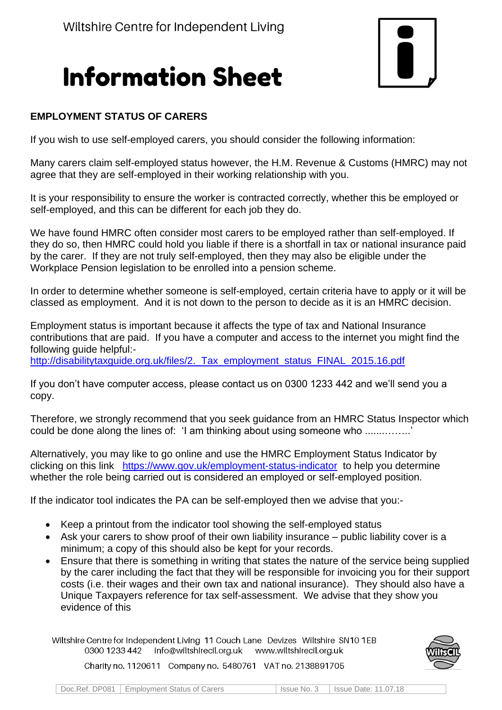## **Information Sheet**



## **EMPLOYMENT STATUS OF CARERS**

If you wish to use self-employed carers, you should consider the following information:

Many carers claim self-employed status however, the H.M. Revenue & Customs (HMRC) may not agree that they are self-employed in their working relationship with you.

It is your responsibility to ensure the worker is contracted correctly, whether this be employed or self-employed, and this can be different for each job they do.

We have found HMRC often consider most carers to be employed rather than self-employed. If they do so, then HMRC could hold you liable if there is a shortfall in tax or national insurance paid by the carer. If they are not truly self-employed, then they may also be eligible under the Workplace Pension legislation to be enrolled into a pension scheme.

In order to determine whether someone is self-employed, certain criteria have to apply or it will be classed as employment. And it is not down to the person to decide as it is an HMRC decision.

Employment status is important because it affects the type of tax and National Insurance contributions that are paid. If you have a computer and access to the internet you might find the following guide helpful: [http://disabilitytaxguide.org.uk/files/2.\\_Tax\\_employment\\_status\\_FINAL\\_2015.16.pdf](http://disabilitytaxguide.org.uk/files/2._Tax_employment_status_FINAL_2015.16.pdf)

If you don't have computer access, please contact us on 0300 1233 442 and we'll send you a copy.

Therefore, we strongly recommend that you seek guidance from an HMRC Status Inspector which could be done along the lines of: 'I am thinking about using someone who ................'

Alternatively, you may like to go online and use the HMRC Employment Status Indicator by clicking on this link <https://www.gov.uk/employment-status-indicator> to help you determine whether the role being carried out is considered an employed or self-employed position.

If the indicator tool indicates the PA can be self-employed then we advise that you:-

- Keep a printout from the indicator tool showing the self-employed status
- Ask your carers to show proof of their own liability insurance public liability cover is a minimum; a copy of this should also be kept for your records.
- Ensure that there is something in writing that states the nature of the service being supplied by the carer including the fact that they will be responsible for invoicing you for their support costs (i.e. their wages and their own tax and national insurance). They should also have a Unique Taxpayers reference for tax self-assessment. We advise that they show you evidence of this

Wiltshire Centre for Independent Living 11 Couch Lane Devizes Wiltshire SN10 1EB 0300 1233 442 info@wiltshirecil.org.uk www.wiltshirecil.org.uk



Charity no. 1120611 Company no. 5480761 VAT no. 2138891705